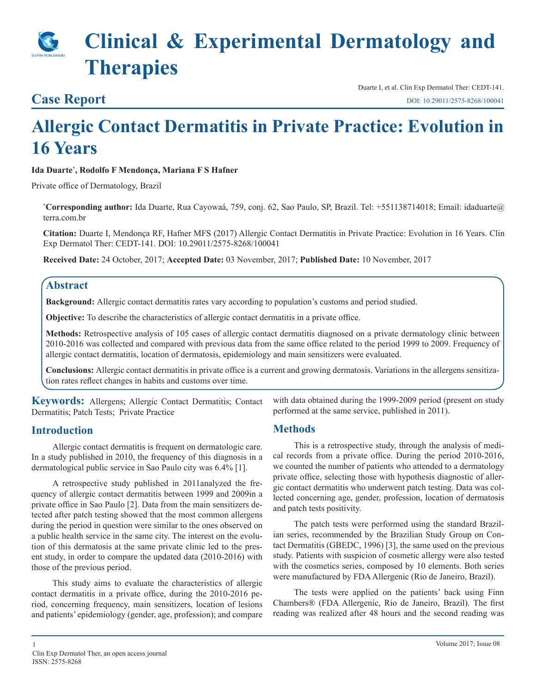# **Clinical & Experimental Dermatology and Therapies**

### **Case Report**

Duarte I, et al. Clin Exp Dermatol Ther: CEDT-141. [DOI: 10.29011/2575-8268/10004](http://doi.org/10.29011/2575-8268/100041)1

## **Allergic Contact Dermatitis in Private Practice: Evolution in 16 Years**

**Ida Duarte\* , Rodolfo F Mendonça, Mariana F S Hafner**

Private office of Dermatology, Brazil

**\* Corresponding author:** Ida Duarte, Rua Cayowaá, 759, conj. 62, Sao Paulo, SP, Brazil. Tel: +551138714018; Email: idaduarte@ terra.com.br

**Citation:** Duarte I, Mendonça RF, Hafner MFS (2017) Allergic Contact Dermatitis in Private Practice: Evolution in 16 Years. Clin Exp Dermatol Ther: CEDT-141. DOI: 10.29011/2575-8268/100041

**Received Date:** 24 October, 2017; **Accepted Date:** 03 November, 2017; **Published Date:** 10 November, 2017

#### **Abstract**

**Background:** Allergic contact dermatitis rates vary according to population's customs and period studied.

**Objective:** To describe the characteristics of allergic contact dermatitis in a private office.

**Methods:** Retrospective analysis of 105 cases of allergic contact dermatitis diagnosed on a private dermatology clinic between 2010-2016 was collected and compared with previous data from the same office related to the period 1999 to 2009. Frequency of allergic contact dermatitis, location of dermatosis, epidemiology and main sensitizers were evaluated.

**Conclusions:** Allergic contact dermatitis in private office is a current and growing dermatosis. Variations in the allergens sensitization rates reflect changes in habits and customs over time.

**Keywords:** Allergens; Allergic Contact Dermatitis; Contact Dermatitis; Patch Tests; Private Practice

#### **Introduction**

Allergic contact dermatitis is frequent on dermatologic care. In a study published in 2010, the frequency of this diagnosis in a dermatological public service in Sao Paulo city was 6.4% [1].

A retrospective study published in 2011analyzed the frequency of allergic contact dermatitis between 1999 and 2009in a private office in Sao Paulo [2]. Data from the main sensitizers detected after patch testing showed that the most common allergens during the period in question were similar to the ones observed on a public health service in the same city. The interest on the evolution of this dermatosis at the same private clinic led to the present study, in order to compare the updated data (2010-2016) with those of the previous period.

This study aims to evaluate the characteristics of allergic contact dermatitis in a private office, during the 2010-2016 period, concerning frequency, main sensitizers, location of lesions and patients' epidemiology (gender, age, profession); and compare with data obtained during the 1999-2009 period (present on study performed at the same service, published in 2011).

#### **Methods**

This is a retrospective study, through the analysis of medical records from a private office. During the period 2010-2016, we counted the number of patients who attended to a dermatology private office, selecting those with hypothesis diagnostic of allergic contact dermatitis who underwent patch testing. Data was collected concerning age, gender, profession, location of dermatosis and patch tests positivity.

The patch tests were performed using the standard Brazilian series, recommended by the Brazilian Study Group on Contact Dermatitis (GBEDC, 1996) [3], the same used on the previous study. Patients with suspicion of cosmetic allergy were also tested with the cosmetics series, composed by 10 elements. Both series were manufactured by FDA Allergenic (Rio de Janeiro, Brazil).

The tests were applied on the patients' back using Finn Chambers® (FDA Allergenic, Rio de Janeiro, Brazil). The first reading was realized after 48 hours and the second reading was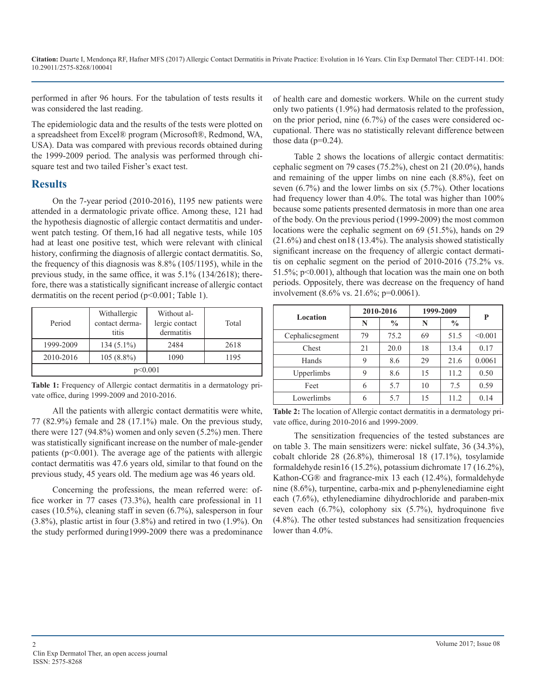performed in after 96 hours. For the tabulation of tests results it was considered the last reading.

The epidemiologic data and the results of the tests were plotted on a spreadsheet from Excel® program (Microsoft®, Redmond, WA, USA). Data was compared with previous records obtained during the 1999-2009 period. The analysis was performed through chisquare test and two tailed Fisher's exact test.

#### **Results**

On the 7-year period (2010-2016), 1195 new patients were attended in a dermatologic private office. Among these, 121 had the hypothesis diagnostic of allergic contact dermatitis and underwent patch testing. Of them,16 had all negative tests, while 105 had at least one positive test, which were relevant with clinical history, confirming the diagnosis of allergic contact dermatitis. So, the frequency of this diagnosis was 8.8% (105/1195), while in the previous study, in the same office, it was 5.1% (134/2618); therefore, there was a statistically significant increase of allergic contact dermatitis on the recent period (p<0.001; Table 1).

| Period    | Withallergic<br>contact derma-<br>titis | Without al-<br>lergic contact<br>dermatitis | Total |  |  |  |  |
|-----------|-----------------------------------------|---------------------------------------------|-------|--|--|--|--|
| 1999-2009 | $134(5.1\%)$                            | 2484                                        | 2618  |  |  |  |  |
| 2010-2016 | $105(8.8\%)$                            | 1090                                        | 1195  |  |  |  |  |
| p<0.001   |                                         |                                             |       |  |  |  |  |

**Table 1:** Frequency of Allergic contact dermatitis in a dermatology private office, during 1999-2009 and 2010-2016.

All the patients with allergic contact dermatitis were white, 77 (82.9%) female and 28 (17.1%) male. On the previous study, there were 127 (94.8%) women and only seven (5.2%) men. There was statistically significant increase on the number of male-gender patients ( $p<0.001$ ). The average age of the patients with allergic contact dermatitis was 47.6 years old, similar to that found on the previous study, 45 years old. The medium age was 46 years old.

Concerning the professions, the mean referred were: office worker in 77 cases (73.3%), health care professional in 11 cases (10.5%), cleaning staff in seven (6.7%), salesperson in four (3.8%), plastic artist in four (3.8%) and retired in two (1.9%). On the study performed during1999-2009 there was a predominance of health care and domestic workers. While on the current study only two patients (1.9%) had dermatosis related to the profession, on the prior period, nine (6.7%) of the cases were considered occupational. There was no statistically relevant difference between those data ( $p=0.24$ ).

Table 2 shows the locations of allergic contact dermatitis: cephalic segment on 79 cases (75.2%), chest on 21 (20.0%), hands and remaining of the upper limbs on nine each (8.8%), feet on seven (6.7%) and the lower limbs on six (5.7%). Other locations had frequency lower than 4.0%. The total was higher than 100% because some patients presented dermatosis in more than one area of the body. On the previous period (1999-2009) the most common locations were the cephalic segment on 69 (51.5%), hands on 29 (21.6%) and chest on18 (13.4%). The analysis showed statistically significant increase on the frequency of allergic contact dermatitis on cephalic segment on the period of 2010-2016 (75.2% vs. 51.5%; p<0.001), although that location was the main one on both periods. Oppositely, there was decrease on the frequency of hand involvement (8.6% vs. 21.6%; p=0.0061).

| Location        | 2010-2016 |               | 1999-2009 |               | P       |  |
|-----------------|-----------|---------------|-----------|---------------|---------|--|
|                 | N         | $\frac{0}{0}$ | N         | $\frac{0}{0}$ |         |  |
| Cephalicsegment | 79        | 75.2          | 69        | 51.5          | < 0.001 |  |
| Chest           | 21        | 20.0          | 18        | 13.4          | 0.17    |  |
| Hands           | 9         | 8.6           | 29        | 21.6          | 0.0061  |  |
| Upperlimbs      | 9         | 8.6           | 15        | 11.2          | 0.50    |  |
| Feet            | 6         | 5.7           | 10        | 7.5           | 0.59    |  |
| Lowerlimbs      |           | 5.7           | 15        | 11.2          | 0.14    |  |

**Table 2:** The location of Allergic contact dermatitis in a dermatology private office, during 2010-2016 and 1999-2009.

The sensitization frequencies of the tested substances are on table 3. The main sensitizers were: nickel sulfate, 36 (34.3%), cobalt chloride 28 (26.8%), thimerosal 18 (17.1%), tosylamide formaldehyde resin16 (15.2%), potassium dichromate 17 (16.2%), Kathon-CG® and fragrance-mix 13 each (12.4%), formaldehyde nine (8.6%), turpentine, carba-mix and p-phenylenediamine eight each (7.6%), ethylenediamine dihydrochloride and paraben-mix seven each  $(6.7\%)$ , colophony six  $(5.7\%)$ , hydroquinone five (4.8%). The other tested substances had sensitization frequencies lower than 4.0%.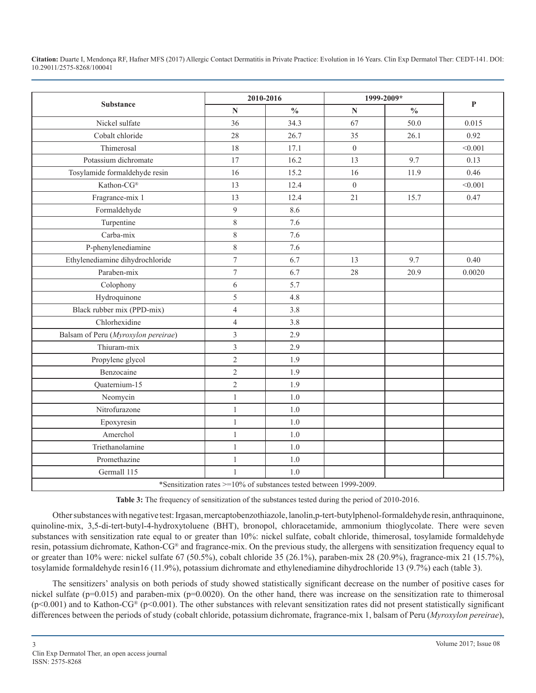|                                     | 2010-2016                |                                                                    | 1999-2009*     |               |              |
|-------------------------------------|--------------------------|--------------------------------------------------------------------|----------------|---------------|--------------|
| <b>Substance</b>                    | ${\bf N}$                | $\frac{0}{0}$                                                      | ${\bf N}$      | $\frac{0}{0}$ | $\mathbf{P}$ |
| Nickel sulfate                      | 36                       | 34.3                                                               | 67             | 50.0          | 0.015        |
| Cobalt chloride                     | 28                       | 26.7                                                               | 35             | 26.1          | 0.92         |
| Thimerosal                          | 18                       | 17.1                                                               | $\overline{0}$ |               | < 0.001      |
| Potassium dichromate                | 17                       | 16.2                                                               | 13             | 9.7           | 0.13         |
| Tosylamide formaldehyde resin       | 16                       | 15.2                                                               | 16             | 11.9          | 0.46         |
| Kathon-CG®                          | 13                       | 12.4                                                               | $\overline{0}$ |               | < 0.001      |
| Fragrance-mix 1                     | 13                       | 12.4                                                               | 21             | 15.7          | 0.47         |
| Formaldehyde                        | 9                        | 8.6                                                                |                |               |              |
| Turpentine                          | $8\,$                    | 7.6                                                                |                |               |              |
| Carba-mix                           | $8\,$                    | 7.6                                                                |                |               |              |
| P-phenylenediamine                  | $8\,$                    | 7.6                                                                |                |               |              |
| Ethylenediamine dihydrochloride     | $\overline{\mathcal{I}}$ | 6.7                                                                | 13             | 9.7           | 0.40         |
| Paraben-mix                         | $\tau$                   | 6.7                                                                | 28             | 20.9          | 0.0020       |
| Colophony                           | 6                        | 5.7                                                                |                |               |              |
| Hydroquinone                        | 5                        | 4.8                                                                |                |               |              |
| Black rubber mix (PPD-mix)          | $\overline{4}$           | 3.8                                                                |                |               |              |
| Chlorhexidine                       | $\overline{4}$           | 3.8                                                                |                |               |              |
| Balsam of Peru (Myroxylon pereirae) | $\overline{3}$           | 2.9                                                                |                |               |              |
| Thiuram-mix                         | $\overline{3}$           | 2.9                                                                |                |               |              |
| Propylene glycol                    | $\overline{2}$           | 1.9                                                                |                |               |              |
| Benzocaine                          | $\overline{2}$           | 1.9                                                                |                |               |              |
| Quaternium-15                       | $\overline{2}$           | 1.9                                                                |                |               |              |
| Neomycin                            | $\,1$                    | 1.0                                                                |                |               |              |
| Nitrofurazone                       | $\mathbf{1}$             | 1.0                                                                |                |               |              |
| Epoxyresin                          | $\,1$                    | 1.0                                                                |                |               |              |
| Amerchol                            | $\,1$                    | 1.0                                                                |                |               |              |
| Triethanolamine                     | $\mathbf{1}$             | 1.0                                                                |                |               |              |
| Promethazine                        | $\mathbf{1}$             | 1.0                                                                |                |               |              |
| Germall 115                         | 1                        | 1.0                                                                |                |               |              |
|                                     |                          | *Sensitization rates >=10% of substances tested between 1999-2009. |                |               |              |

**Table 3:** The frequency of sensitization of the substances tested during the period of 2010-2016.

Other substances with negative test: Irgasan, mercaptobenzothiazole, lanolin,p-tert-butylphenol-formaldehyde resin, anthraquinone, quinoline-mix, 3,5-di-tert-butyl-4-hydroxytoluene (BHT), bronopol, chloracetamide, ammonium thioglycolate. There were seven substances with sensitization rate equal to or greater than 10%: nickel sulfate, cobalt chloride, thimerosal, tosylamide formaldehyde resin, potassium dichromate, Kathon-CG® and fragrance-mix. On the previous study, the allergens with sensitization frequency equal to or greater than 10% were: nickel sulfate 67 (50.5%), cobalt chloride 35 (26.1%), paraben-mix 28 (20.9%), fragrance-mix 21 (15.7%), tosylamide formaldehyde resin16 (11.9%), potassium dichromate and ethylenediamine dihydrochloride 13 (9.7%) each (table 3).

The sensitizers' analysis on both periods of study showed statistically significant decrease on the number of positive cases for nickel sulfate ( $p=0.015$ ) and paraben-mix ( $p=0.0020$ ). On the other hand, there was increase on the sensitization rate to thimerosal  $(p<0.001)$  and to Kathon-CG® (p $<0.001$ ). The other substances with relevant sensitization rates did not present statistically significant differences between the periods of study (cobalt chloride, potassium dichromate, fragrance-mix 1, balsam of Peru (*Myroxylon pereirae*),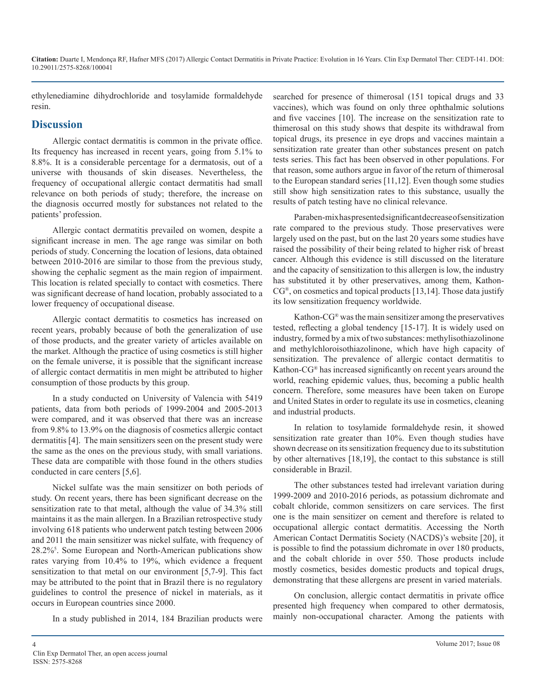ethylenediamine dihydrochloride and tosylamide formaldehyde resin.

#### **Discussion**

Allergic contact dermatitis is common in the private office. Its frequency has increased in recent years, going from 5.1% to 8.8%. It is a considerable percentage for a dermatosis, out of a universe with thousands of skin diseases. Nevertheless, the frequency of occupational allergic contact dermatitis had small relevance on both periods of study; therefore, the increase on the diagnosis occurred mostly for substances not related to the patients' profession.

Allergic contact dermatitis prevailed on women, despite a significant increase in men. The age range was similar on both periods of study. Concerning the location of lesions, data obtained between 2010-2016 are similar to those from the previous study, showing the cephalic segment as the main region of impairment. This location is related specially to contact with cosmetics. There was significant decrease of hand location, probably associated to a lower frequency of occupational disease.

Allergic contact dermatitis to cosmetics has increased on recent years, probably because of both the generalization of use of those products, and the greater variety of articles available on the market. Although the practice of using cosmetics is still higher on the female universe, it is possible that the significant increase of allergic contact dermatitis in men might be attributed to higher consumption of those products by this group.

In a study conducted on University of Valencia with 5419 patients, data from both periods of 1999-2004 and 2005-2013 were compared, and it was observed that there was an increase from 9.8% to 13.9% on the diagnosis of cosmetics allergic contact dermatitis [4]. The main sensitizers seen on the present study were the same as the ones on the previous study, with small variations. These data are compatible with those found in the others studies conducted in care centers [5,6].

Nickel sulfate was the main sensitizer on both periods of study. On recent years, there has been significant decrease on the sensitization rate to that metal, although the value of 34.3% still maintains it as the main allergen. In a Brazilian retrospective study involving 618 patients who underwent patch testing between 2006 and 2011 the main sensitizer was nickel sulfate, with frequency of 28.2%<sup>5</sup> . Some European and North-American publications show rates varying from 10.4% to 19%, which evidence a frequent sensitization to that metal on our environment [5,7-9]. This fact may be attributed to the point that in Brazil there is no regulatory guidelines to control the presence of nickel in materials, as it occurs in European countries since 2000.

In a study published in 2014, 184 Brazilian products were

searched for presence of thimerosal (151 topical drugs and 33 vaccines), which was found on only three ophthalmic solutions and five vaccines [10]. The increase on the sensitization rate to thimerosal on this study shows that despite its withdrawal from topical drugs, its presence in eye drops and vaccines maintain a sensitization rate greater than other substances present on patch tests series. This fact has been observed in other populations. For that reason, some authors argue in favor of the return of thimerosal to the European standard series [11,12]. Even though some studies still show high sensitization rates to this substance, usually the results of patch testing have no clinical relevance.

Paraben-mix has presented significant decrease of sensitization rate compared to the previous study. Those preservatives were largely used on the past, but on the last 20 years some studies have raised the possibility of their being related to higher risk of breast cancer. Although this evidence is still discussed on the literature and the capacity of sensitization to this allergen is low, the industry has substituted it by other preservatives, among them, Kathon- $CG^{\otimes}$ , on cosmetics and topical products [13,14]. Those data justify its low sensitization frequency worldwide.

Kathon-CG® was the main sensitizer among the preservatives tested, reflecting a global tendency [15-17]. It is widely used on industry, formed by a mix of two substances: methylisothiazolinone and methylchloroisothiazolinone, which have high capacity of sensitization. The prevalence of allergic contact dermatitis to Kathon-CG® has increased significantly on recent years around the world, reaching epidemic values, thus, becoming a public health concern. Therefore, some measures have been taken on Europe and United States in order to regulate its use in cosmetics, cleaning and industrial products.

In relation to tosylamide formaldehyde resin, it showed sensitization rate greater than 10%. Even though studies have shown decrease on its sensitization frequency due to its substitution by other alternatives [18,19], the contact to this substance is still considerable in Brazil.

The other substances tested had irrelevant variation during 1999-2009 and 2010-2016 periods, as potassium dichromate and cobalt chloride, common sensitizers on care services. The first one is the main sensitizer on cement and therefore is related to occupational allergic contact dermatitis. Accessing the North American Contact Dermatitis Society (NACDS)'s website [20], it is possible to find the potassium dichromate in over 180 products, and the cobalt chloride in over 550. Those products include mostly cosmetics, besides domestic products and topical drugs, demonstrating that these allergens are present in varied materials.

On conclusion, allergic contact dermatitis in private office presented high frequency when compared to other dermatosis, mainly non-occupational character. Among the patients with